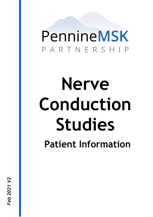## PennineMSK PARTNERSH

# **Nerve Conduction Studies Patient Information**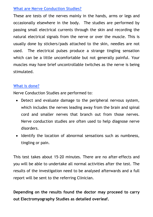#### **What are Nerve Conduction Studies?**

These are tests of the nerves mainly in the hands, arms or legs and occasionally elsewhere in the body. The studies are performed by passing small electrical currents through the skin and recording the natural electrical signals from the nerve or over the muscle. This is usually done by stickers/pads attached to the skin, needles are not used. The electrical pulses produce a strange tingling sensation which can be a little uncomfortable but not generally painful. Your muscles may have brief uncontrollable twitches as the nerve is being stimulated.

#### **What is done?**

Nerve Conduction Studies are performed to:

- Detect and evaluate damage to the peripheral nervous system, which includes the nerves leading away from the brain and spinal cord and smaller nerves that branch out from those nerves. Nerve conduction studies are often used to help diagnose nerve disorders.
- Identify the location of abnormal sensations such as numbness, tingling or pain.

This test takes about 15-20 minutes. There are no after-effects and you will be able to undertake all normal activities after the test. The results of the investigation need to be analysed afterwards and a full report will be sent to the referring Clinician.

**Depending on the results found the doctor may proceed to carry out Electromyography Studies as detailed overleaf.**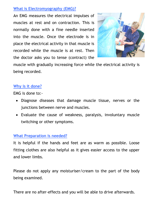#### **What is Electromyography (EMG)?**

An EMG measures the electrical impulses of muscles at rest and on contraction. This is normally done with a fine needle inserted into the muscle. Once the electrode is in place the electrical activity in that muscle is recorded while the muscle is at rest. Then the doctor asks you to tense (contract) the



muscle with gradually increasing force while the electrical activity is being recorded.

#### **Why is it done?**

EMG is done to:-

- Diagnose diseases that damage muscle tissue, nerves or the junctions between nerve and muscles.
- Evaluate the cause of weakness, paralysis, involuntary muscle twitching or other symptoms.

#### **What Preparation is needed?**

It is helpful if the hands and feet are as warm as possible. Loose fitting clothes are also helpful as it gives easier access to the upper and lower limbs.

Please do not apply any moisturiser/cream to the part of the body being examined.

There are no after-effects and you will be able to drive afterwards.